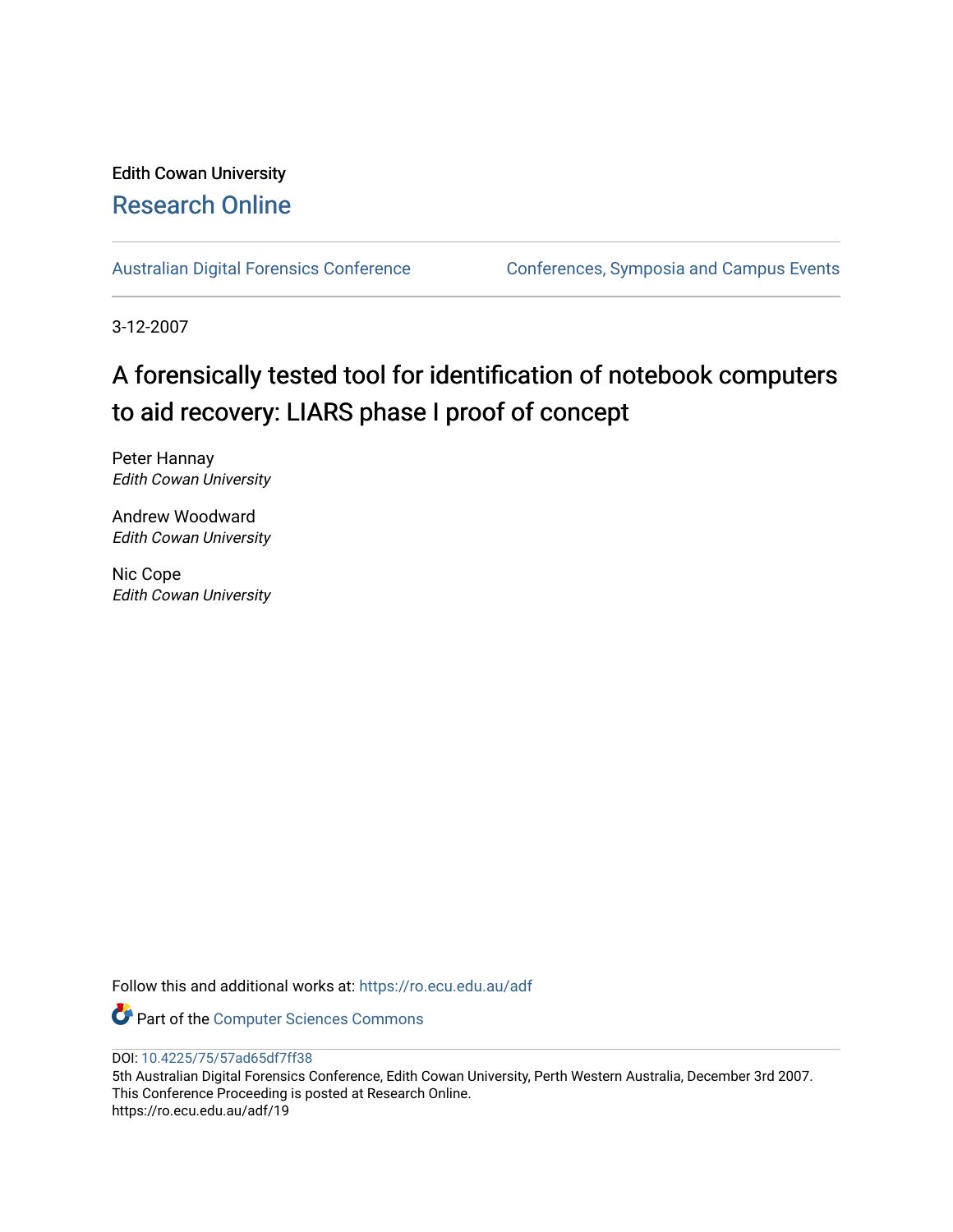## Edith Cowan University [Research Online](https://ro.ecu.edu.au/)

[Australian Digital Forensics Conference](https://ro.ecu.edu.au/adf) Conferences, Symposia and Campus Events

3-12-2007

# A forensically tested tool for identification of notebook computers to aid recovery: LIARS phase I proof of concept

Peter Hannay Edith Cowan University

Andrew Woodward Edith Cowan University

Nic Cope Edith Cowan University

Follow this and additional works at: [https://ro.ecu.edu.au/adf](https://ro.ecu.edu.au/adf?utm_source=ro.ecu.edu.au%2Fadf%2F19&utm_medium=PDF&utm_campaign=PDFCoverPages)

Part of the [Computer Sciences Commons](http://network.bepress.com/hgg/discipline/142?utm_source=ro.ecu.edu.au%2Fadf%2F19&utm_medium=PDF&utm_campaign=PDFCoverPages)

DOI: [10.4225/75/57ad65df7ff38](https://doi.org/10.4225/75/57ad65df7ff38) 

5th Australian Digital Forensics Conference, Edith Cowan University, Perth Western Australia, December 3rd 2007. This Conference Proceeding is posted at Research Online. https://ro.ecu.edu.au/adf/19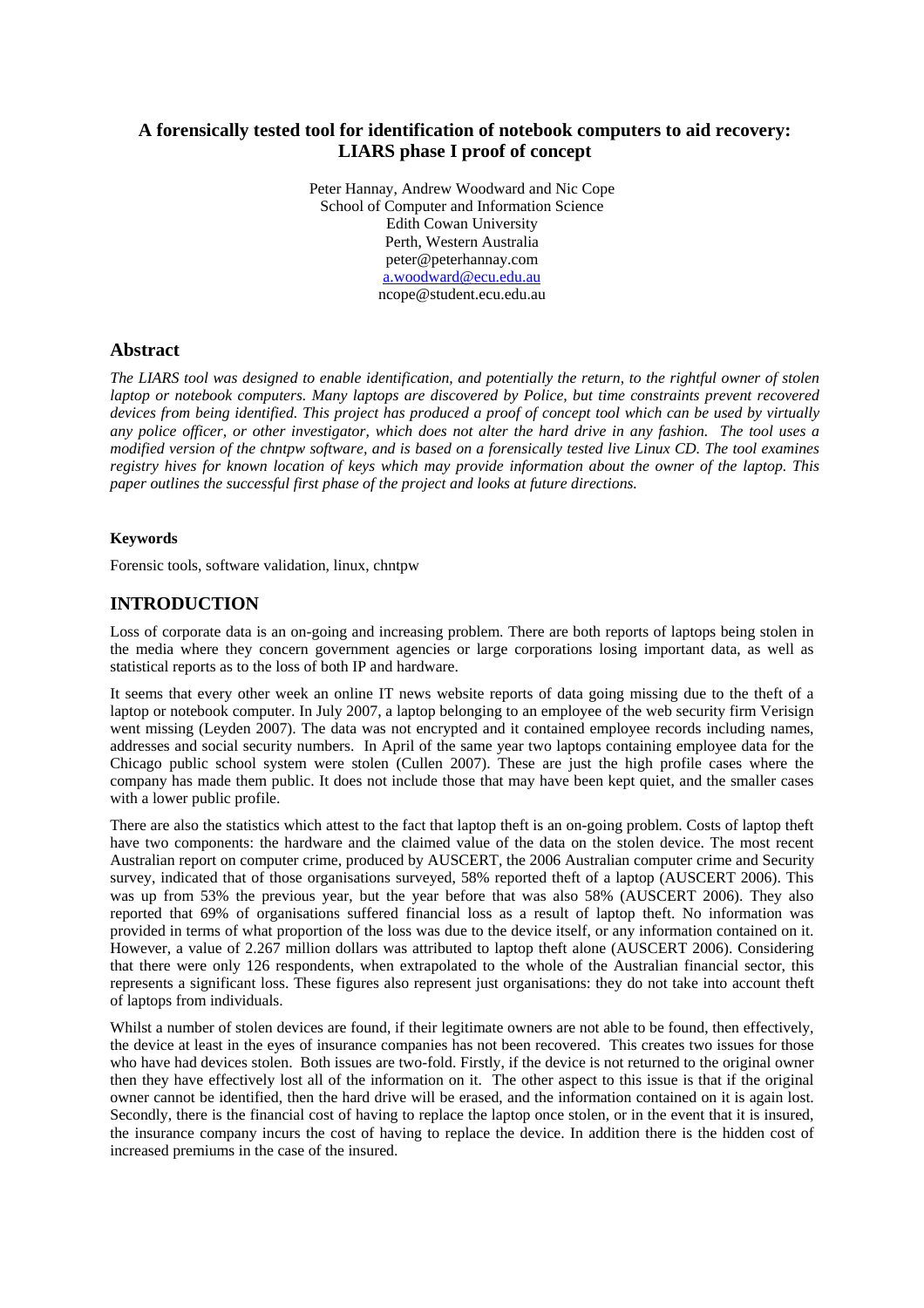## **A forensically tested tool for identification of notebook computers to aid recovery: LIARS phase I proof of concept**

Peter Hannay, Andrew Woodward and Nic Cope School of Computer and Information Science Edith Cowan University Perth, Western Australia peter@peterhannay.com [a.woodward@ecu.edu.au](mailto:a.woodward@ecu.edu.au) ncope@student.ecu.edu.au

## **Abstract**

*The LIARS tool was designed to enable identification, and potentially the return, to the rightful owner of stolen laptop or notebook computers. Many laptops are discovered by Police, but time constraints prevent recovered devices from being identified. This project has produced a proof of concept tool which can be used by virtually any police officer, or other investigator, which does not alter the hard drive in any fashion. The tool uses a modified version of the chntpw software, and is based on a forensically tested live Linux CD. The tool examines registry hives for known location of keys which may provide information about the owner of the laptop. This paper outlines the successful first phase of the project and looks at future directions.* 

#### **Keywords**

Forensic tools, software validation, linux, chntpw

## **INTRODUCTION**

Loss of corporate data is an on-going and increasing problem. There are both reports of laptops being stolen in the media where they concern government agencies or large corporations losing important data, as well as statistical reports as to the loss of both IP and hardware.

It seems that every other week an online IT news website reports of data going missing due to the theft of a laptop or notebook computer. In July 2007, a laptop belonging to an employee of the web security firm Verisign went missing (Leyden 2007). The data was not encrypted and it contained employee records including names, addresses and social security numbers. In April of the same year two laptops containing employee data for the Chicago public school system were stolen (Cullen 2007). These are just the high profile cases where the company has made them public. It does not include those that may have been kept quiet, and the smaller cases with a lower public profile.

There are also the statistics which attest to the fact that laptop theft is an on-going problem. Costs of laptop theft have two components: the hardware and the claimed value of the data on the stolen device. The most recent Australian report on computer crime, produced by AUSCERT, the 2006 Australian computer crime and Security survey, indicated that of those organisations surveyed, 58% reported theft of a laptop (AUSCERT 2006). This was up from 53% the previous year, but the year before that was also 58% (AUSCERT 2006). They also reported that 69% of organisations suffered financial loss as a result of laptop theft. No information was provided in terms of what proportion of the loss was due to the device itself, or any information contained on it. However, a value of 2.267 million dollars was attributed to laptop theft alone (AUSCERT 2006). Considering that there were only 126 respondents, when extrapolated to the whole of the Australian financial sector, this represents a significant loss. These figures also represent just organisations: they do not take into account theft of laptops from individuals.

Whilst a number of stolen devices are found, if their legitimate owners are not able to be found, then effectively, the device at least in the eyes of insurance companies has not been recovered. This creates two issues for those who have had devices stolen. Both issues are two-fold. Firstly, if the device is not returned to the original owner then they have effectively lost all of the information on it. The other aspect to this issue is that if the original owner cannot be identified, then the hard drive will be erased, and the information contained on it is again lost. Secondly, there is the financial cost of having to replace the laptop once stolen, or in the event that it is insured, the insurance company incurs the cost of having to replace the device. In addition there is the hidden cost of increased premiums in the case of the insured.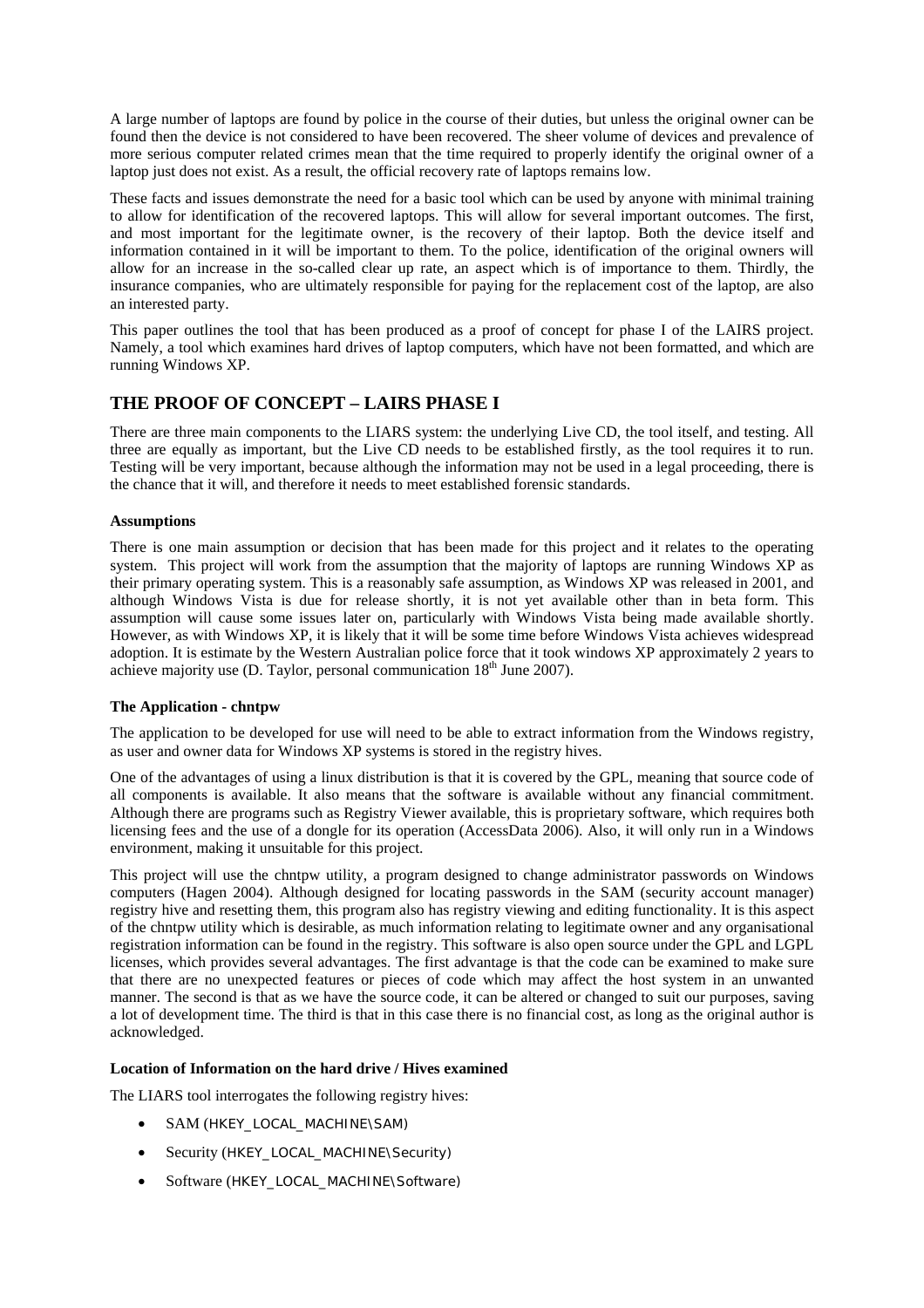A large number of laptops are found by police in the course of their duties, but unless the original owner can be found then the device is not considered to have been recovered. The sheer volume of devices and prevalence of more serious computer related crimes mean that the time required to properly identify the original owner of a laptop just does not exist. As a result, the official recovery rate of laptops remains low.

These facts and issues demonstrate the need for a basic tool which can be used by anyone with minimal training to allow for identification of the recovered laptops. This will allow for several important outcomes. The first, and most important for the legitimate owner, is the recovery of their laptop. Both the device itself and information contained in it will be important to them. To the police, identification of the original owners will allow for an increase in the so-called clear up rate, an aspect which is of importance to them. Thirdly, the insurance companies, who are ultimately responsible for paying for the replacement cost of the laptop, are also an interested party.

This paper outlines the tool that has been produced as a proof of concept for phase I of the LAIRS project. Namely, a tool which examines hard drives of laptop computers, which have not been formatted, and which are running Windows XP.

## **THE PROOF OF CONCEPT – LAIRS PHASE I**

There are three main components to the LIARS system: the underlying Live CD, the tool itself, and testing. All three are equally as important, but the Live CD needs to be established firstly, as the tool requires it to run. Testing will be very important, because although the information may not be used in a legal proceeding, there is the chance that it will, and therefore it needs to meet established forensic standards.

#### **Assumptions**

There is one main assumption or decision that has been made for this project and it relates to the operating system. This project will work from the assumption that the majority of laptops are running Windows XP as their primary operating system. This is a reasonably safe assumption, as Windows XP was released in 2001, and although Windows Vista is due for release shortly, it is not yet available other than in beta form. This assumption will cause some issues later on, particularly with Windows Vista being made available shortly. However, as with Windows XP, it is likely that it will be some time before Windows Vista achieves widespread adoption. It is estimate by the Western Australian police force that it took windows XP approximately 2 years to achieve majority use (D. Taylor, personal communication  $18<sup>th</sup>$  June 2007).

#### **The Application - chntpw**

The application to be developed for use will need to be able to extract information from the Windows registry, as user and owner data for Windows XP systems is stored in the registry hives.

One of the advantages of using a linux distribution is that it is covered by the GPL, meaning that source code of all components is available. It also means that the software is available without any financial commitment. Although there are programs such as Registry Viewer available, this is proprietary software, which requires both licensing fees and the use of a dongle for its operation (AccessData 2006). Also, it will only run in a Windows environment, making it unsuitable for this project.

This project will use the chntpw utility, a program designed to change administrator passwords on Windows computers (Hagen 2004). Although designed for locating passwords in the SAM (security account manager) registry hive and resetting them, this program also has registry viewing and editing functionality. It is this aspect of the chntpw utility which is desirable, as much information relating to legitimate owner and any organisational registration information can be found in the registry. This software is also open source under the GPL and LGPL licenses, which provides several advantages. The first advantage is that the code can be examined to make sure that there are no unexpected features or pieces of code which may affect the host system in an unwanted manner. The second is that as we have the source code, it can be altered or changed to suit our purposes, saving a lot of development time. The third is that in this case there is no financial cost, as long as the original author is acknowledged.

### **Location of Information on the hard drive / Hives examined**

The LIARS tool interrogates the following registry hives:

- SAM (HKEY\_LOCAL\_MACHINE\SAM)
- Security (HKEY\_LOCAL\_MACHINE\Security)
- Software (HKEY\_LOCAL\_MACHINE\Software)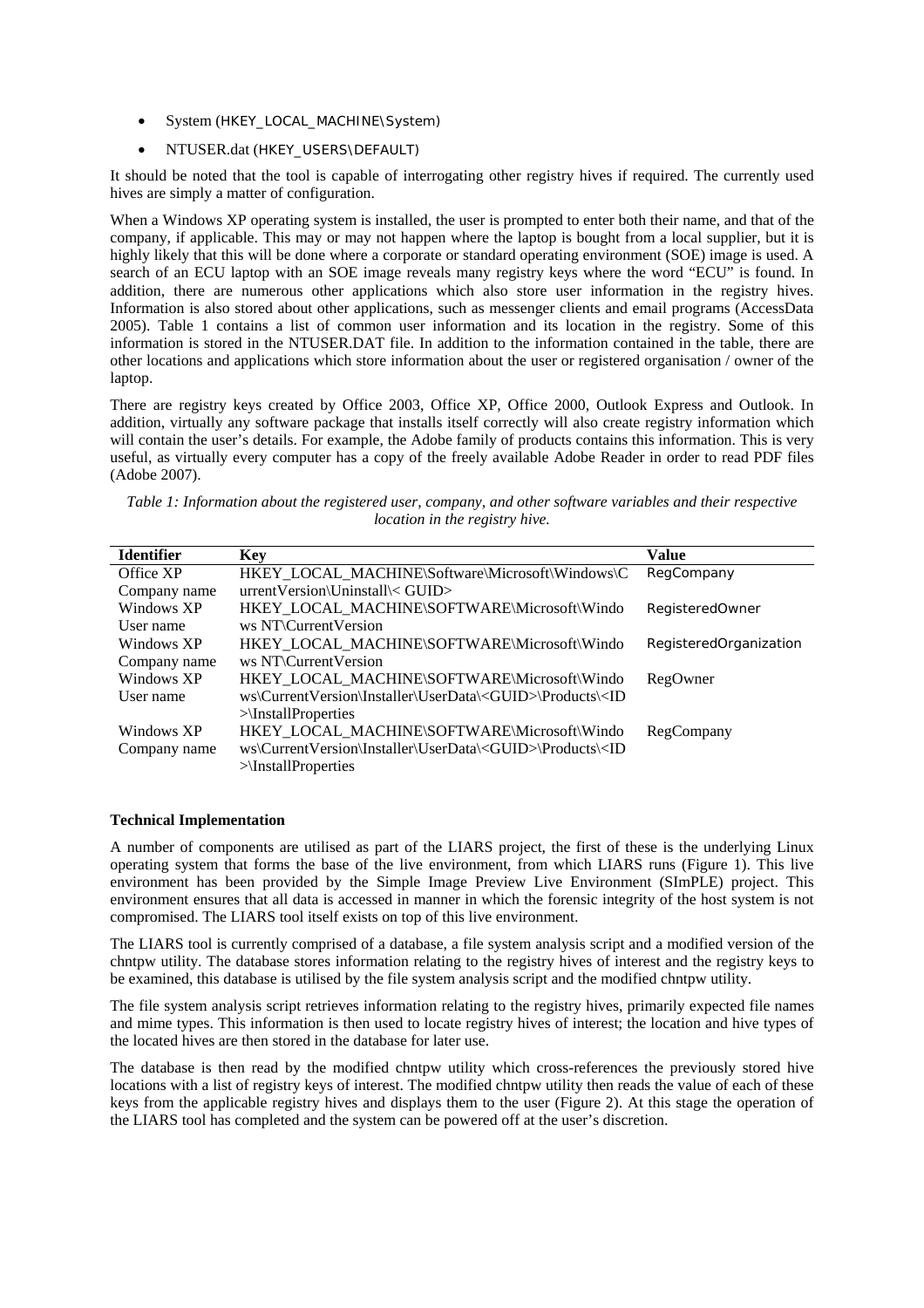- System (HKEY\_LOCAL\_MACHINE\System)
- NTUSER.dat (HKEY\_USERS\DEFAULT)

It should be noted that the tool is capable of interrogating other registry hives if required. The currently used hives are simply a matter of configuration.

When a Windows XP operating system is installed, the user is prompted to enter both their name, and that of the company, if applicable. This may or may not happen where the laptop is bought from a local supplier, but it is highly likely that this will be done where a corporate or standard operating environment (SOE) image is used. A search of an ECU laptop with an SOE image reveals many registry keys where the word "ECU" is found. In addition, there are numerous other applications which also store user information in the registry hives. Information is also stored about other applications, such as messenger clients and email programs (AccessData 2005). Table 1 contains a list of common user information and its location in the registry. Some of this information is stored in the NTUSER.DAT file. In addition to the information contained in the table, there are other locations and applications which store information about the user or registered organisation / owner of the laptop.

There are registry keys created by Office 2003, Office XP, Office 2000, Outlook Express and Outlook. In addition, virtually any software package that installs itself correctly will also create registry information which will contain the user's details. For example, the Adobe family of products contains this information. This is very useful, as virtually every computer has a copy of the freely available Adobe Reader in order to read PDF files (Adobe 2007).

| Table 1: Information about the registered user, company, and other software variables and their respective |                                       |  |  |
|------------------------------------------------------------------------------------------------------------|---------------------------------------|--|--|
|                                                                                                            | <i>location in the registry hive.</i> |  |  |

| <b>Identifier</b> | <b>Key</b>                                                                              | <b>Value</b>           |
|-------------------|-----------------------------------------------------------------------------------------|------------------------|
| Office XP         | HKEY_LOCAL_MACHINE\Software\Microsoft\Windows\C                                         | RegCompany             |
| Company name      | urrentVersion\Uninstall\< GUID>                                                         |                        |
| Windows XP        | HKEY LOCAL MACHINE\SOFTWARE\Microsoft\Windo                                             | RegisteredOwner        |
| User name         | ws NT\CurrentVersion                                                                    |                        |
| Windows XP        | HKEY_LOCAL_MACHINE\SOFTWARE\Microsoft\Windo                                             | RegisteredOrganization |
| Company name      | ws NT\CurrentVersion                                                                    |                        |
| Windows XP        | HKEY_LOCAL_MACHINE\SOFTWARE\Microsoft\Windo                                             | RegOwner               |
| User name         | ws\CurrentVersion\Installer\UserData\ <guid>\Products\<id< td=""><td></td></id<></guid> |                        |
|                   | $>\$ [nstallProperties]                                                                 |                        |
| Windows XP        | HKEY_LOCAL_MACHINE\SOFTWARE\Microsoft\Windo                                             | RegCompany             |
| Company name      | ws\CurrentVersion\Installer\UserData\ <guid>\Products\<id< td=""><td></td></id<></guid> |                        |
|                   | $>\$ [InstallProperties]                                                                |                        |

#### **Technical Implementation**

A number of components are utilised as part of the LIARS project, the first of these is the underlying Linux operating system that forms the base of the live environment, from which LIARS runs (Figure 1). This live environment has been provided by the Simple Image Preview Live Environment (SImPLE) project. This environment ensures that all data is accessed in manner in which the forensic integrity of the host system is not compromised. The LIARS tool itself exists on top of this live environment.

The LIARS tool is currently comprised of a database, a file system analysis script and a modified version of the chntpw utility. The database stores information relating to the registry hives of interest and the registry keys to be examined, this database is utilised by the file system analysis script and the modified chntpw utility.

The file system analysis script retrieves information relating to the registry hives, primarily expected file names and mime types. This information is then used to locate registry hives of interest; the location and hive types of the located hives are then stored in the database for later use.

The database is then read by the modified chntpw utility which cross-references the previously stored hive locations with a list of registry keys of interest. The modified chntpw utility then reads the value of each of these keys from the applicable registry hives and displays them to the user (Figure 2). At this stage the operation of the LIARS tool has completed and the system can be powered off at the user's discretion.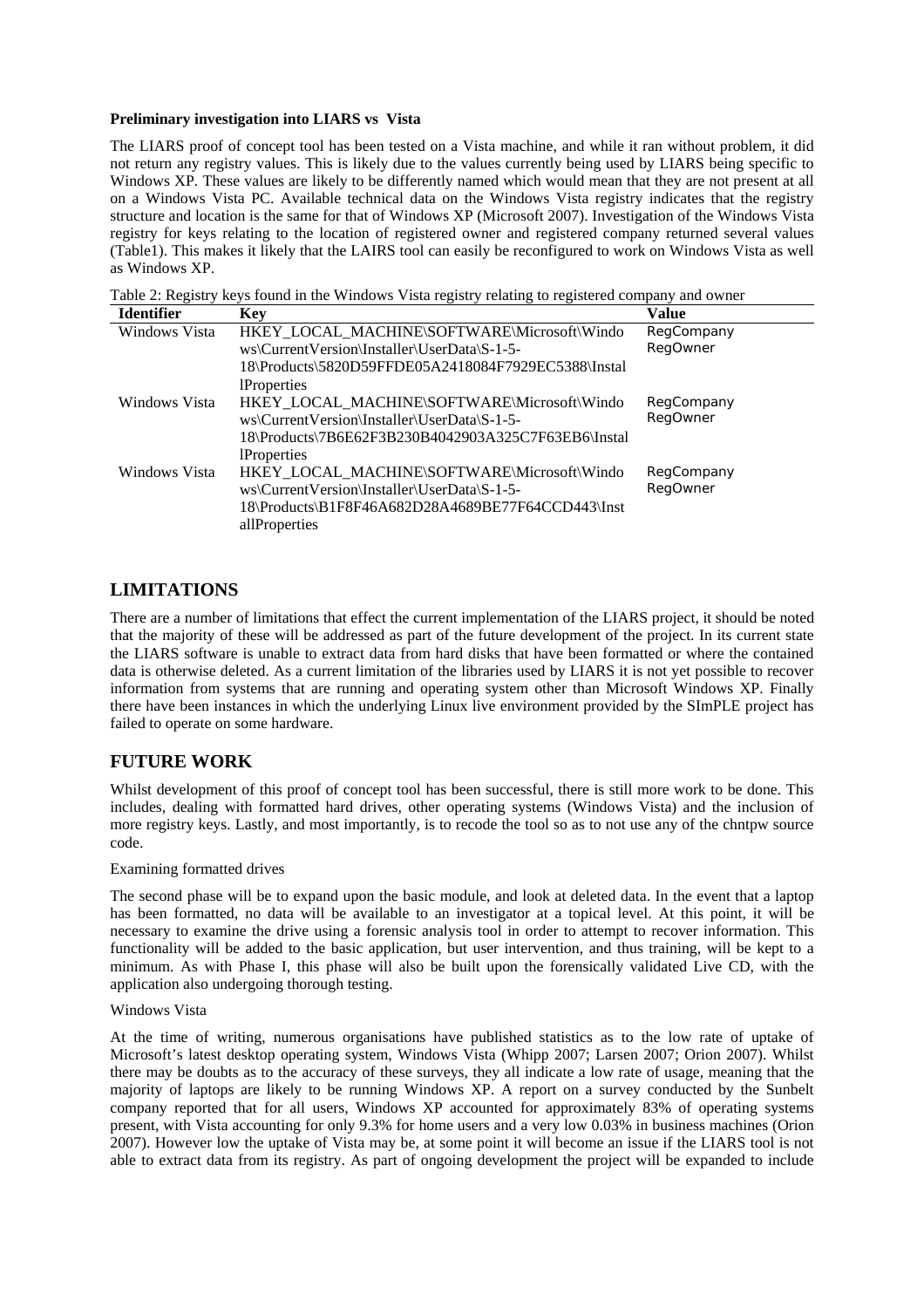#### **Preliminary investigation into LIARS vs Vista**

The LIARS proof of concept tool has been tested on a Vista machine, and while it ran without problem, it did not return any registry values. This is likely due to the values currently being used by LIARS being specific to Windows XP. These values are likely to be differently named which would mean that they are not present at all on a Windows Vista PC. Available technical data on the Windows Vista registry indicates that the registry structure and location is the same for that of Windows XP (Microsoft 2007). Investigation of the Windows Vista registry for keys relating to the location of registered owner and registered company returned several values (Table1). This makes it likely that the LAIRS tool can easily be reconfigured to work on Windows Vista as well as Windows XP.

Table 2: Registry keys found in the Windows Vista registry relating to registered company and owner

|               |                                                     | <b>Value</b>    |
|---------------|-----------------------------------------------------|-----------------|
| Windows Vista | HKEY LOCAL MACHINE\SOFTWARE\Microsoft\Windo         | RegCompany      |
|               | ws\CurrentVersion\Installer\UserData\S-1-5-         | <b>RegOwner</b> |
|               | 18\Products\5820D59FFDE05A2418084F7929EC5388\Instal |                 |
|               | <b>Properties</b>                                   |                 |
| Windows Vista | HKEY_LOCAL_MACHINE\SOFTWARE\Microsoft\Windo         | RegCompany      |
|               | ws\CurrentVersion\Installer\UserData\S-1-5-         | <b>RegOwner</b> |
|               | 18\Products\7B6E62F3B230B4042903A325C7F63EB6\Instal |                 |
|               | <b>Properties</b>                                   |                 |
| Windows Vista | HKEY LOCAL MACHINE\SOFTWARE\Microsoft\Windo         | RegCompany      |
|               | ws\CurrentVersion\Installer\UserData\S-1-5-         | <b>RegOwner</b> |
|               | 18\Products\B1F8F46A682D28A4689BE77F64CCD443\Inst   |                 |
|               | allProperties                                       |                 |
|               |                                                     |                 |

## **LIMITATIONS**

There are a number of limitations that effect the current implementation of the LIARS project, it should be noted that the majority of these will be addressed as part of the future development of the project. In its current state the LIARS software is unable to extract data from hard disks that have been formatted or where the contained data is otherwise deleted. As a current limitation of the libraries used by LIARS it is not yet possible to recover information from systems that are running and operating system other than Microsoft Windows XP. Finally there have been instances in which the underlying Linux live environment provided by the SImPLE project has failed to operate on some hardware.

## **FUTURE WORK**

Whilst development of this proof of concept tool has been successful, there is still more work to be done. This includes, dealing with formatted hard drives, other operating systems (Windows Vista) and the inclusion of more registry keys. Lastly, and most importantly, is to recode the tool so as to not use any of the chntpw source code.

#### Examining formatted drives

The second phase will be to expand upon the basic module, and look at deleted data. In the event that a laptop has been formatted, no data will be available to an investigator at a topical level. At this point, it will be necessary to examine the drive using a forensic analysis tool in order to attempt to recover information. This functionality will be added to the basic application, but user intervention, and thus training, will be kept to a minimum. As with Phase I, this phase will also be built upon the forensically validated Live CD, with the application also undergoing thorough testing.

#### Windows Vista

At the time of writing, numerous organisations have published statistics as to the low rate of uptake of Microsoft's latest desktop operating system, Windows Vista (Whipp 2007; Larsen 2007; Orion 2007). Whilst there may be doubts as to the accuracy of these surveys, they all indicate a low rate of usage, meaning that the majority of laptops are likely to be running Windows XP. A report on a survey conducted by the Sunbelt company reported that for all users, Windows XP accounted for approximately 83% of operating systems present, with Vista accounting for only 9.3% for home users and a very low 0.03% in business machines (Orion 2007). However low the uptake of Vista may be, at some point it will become an issue if the LIARS tool is not able to extract data from its registry. As part of ongoing development the project will be expanded to include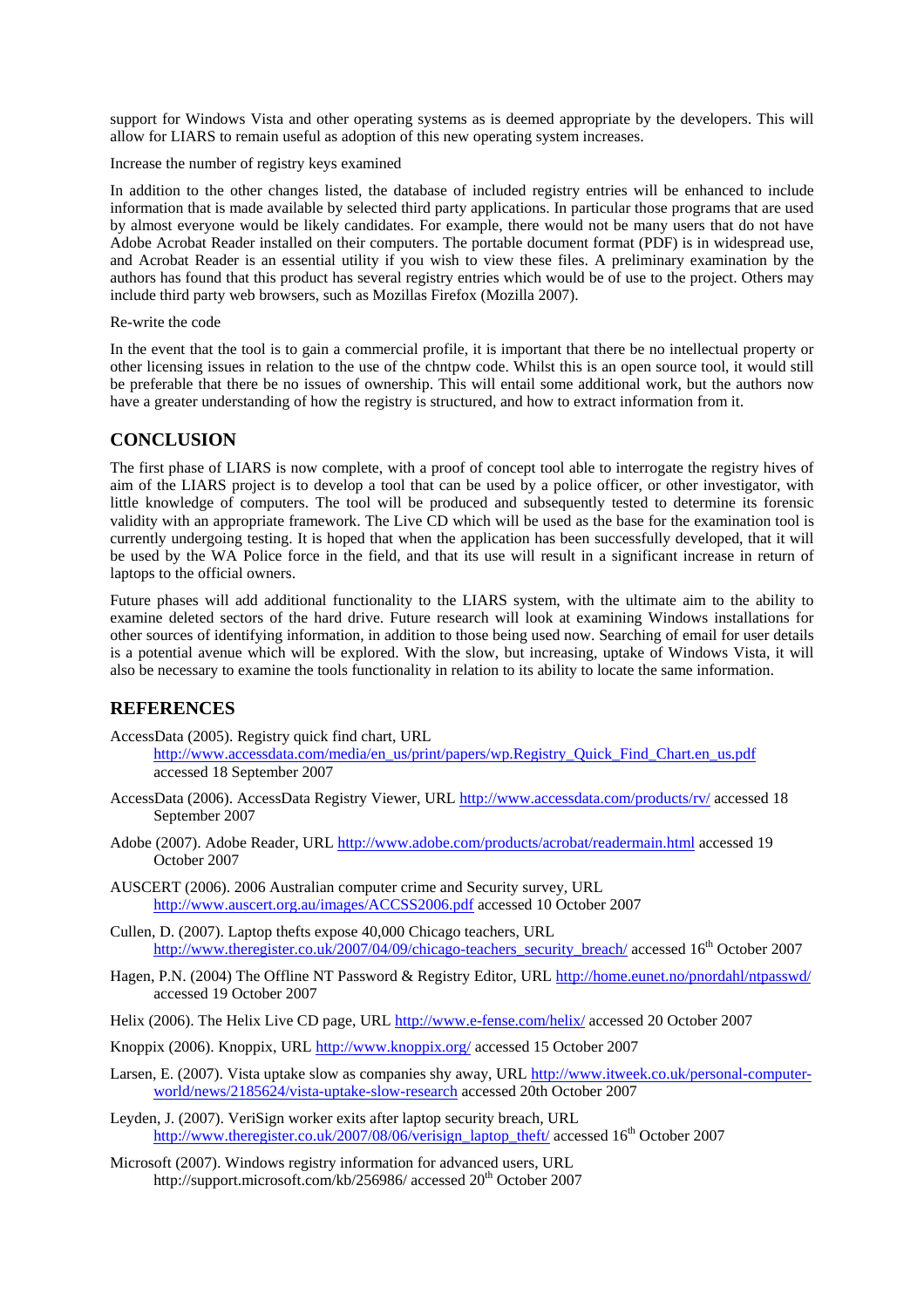support for Windows Vista and other operating systems as is deemed appropriate by the developers. This will allow for LIARS to remain useful as adoption of this new operating system increases.

Increase the number of registry keys examined

In addition to the other changes listed, the database of included registry entries will be enhanced to include information that is made available by selected third party applications. In particular those programs that are used by almost everyone would be likely candidates. For example, there would not be many users that do not have Adobe Acrobat Reader installed on their computers. The portable document format (PDF) is in widespread use, and Acrobat Reader is an essential utility if you wish to view these files. A preliminary examination by the authors has found that this product has several registry entries which would be of use to the project. Others may include third party web browsers, such as Mozillas Firefox (Mozilla 2007).

Re-write the code

In the event that the tool is to gain a commercial profile, it is important that there be no intellectual property or other licensing issues in relation to the use of the chntpw code. Whilst this is an open source tool, it would still be preferable that there be no issues of ownership. This will entail some additional work, but the authors now have a greater understanding of how the registry is structured, and how to extract information from it.

## **CONCLUSION**

The first phase of LIARS is now complete, with a proof of concept tool able to interrogate the registry hives of aim of the LIARS project is to develop a tool that can be used by a police officer, or other investigator, with little knowledge of computers. The tool will be produced and subsequently tested to determine its forensic validity with an appropriate framework. The Live CD which will be used as the base for the examination tool is currently undergoing testing. It is hoped that when the application has been successfully developed, that it will be used by the WA Police force in the field, and that its use will result in a significant increase in return of laptops to the official owners.

Future phases will add additional functionality to the LIARS system, with the ultimate aim to the ability to examine deleted sectors of the hard drive. Future research will look at examining Windows installations for other sources of identifying information, in addition to those being used now. Searching of email for user details is a potential avenue which will be explored. With the slow, but increasing, uptake of Windows Vista, it will also be necessary to examine the tools functionality in relation to its ability to locate the same information.

## **REFERENCES**

- AccessData (2005). Registry quick find chart, URL [http://www.accessdata.com/media/en\\_us/print/papers/wp.Registry\\_Quick\\_Find\\_Chart.en\\_us.pdf](http://www.accessdata.com/media/en_us/print/papers/wp.Registry_Quick_Find_Chart.en_us.pdf) accessed 18 September 2007
- AccessData (2006). AccessData Registry Viewer, URL <http://www.accessdata.com/products/rv/> accessed 18 September 2007
- Adobe (2007). Adobe Reader, URL <http://www.adobe.com/products/acrobat/readermain.html>accessed 19 October 2007
- AUSCERT (2006). 2006 Australian computer crime and Security survey, URL <http://www.auscert.org.au/images/ACCSS2006.pdf> accessed 10 October 2007
- Cullen, D. (2007). Laptop thefts expose 40,000 Chicago teachers, URL [http://www.theregister.co.uk/2007/04/09/chicago-teachers\\_security\\_breach/](http://www.theregister.co.uk/2007/04/09/chicago-teachers_security_breach/) accessed 16<sup>th</sup> October 2007
- Hagen, P.N. (2004) The Offline NT Password & Registry Editor, URL <http://home.eunet.no/pnordahl/ntpasswd/> accessed 19 October 2007
- Helix (2006). The Helix Live CD page, URL<http://www.e-fense.com/helix/>accessed 20 October 2007
- Knoppix (2006). Knoppix, URL<http://www.knoppix.org/> accessed 15 October 2007
- Larsen, E. (2007). Vista uptake slow as companies shy away, URL [http://www.itweek.co.uk/personal-computer](http://www.itweek.co.uk/personal-computer-world/news/2185624/vista-uptake-slow-research)[world/news/2185624/vista-uptake-slow-research](http://www.itweek.co.uk/personal-computer-world/news/2185624/vista-uptake-slow-research) accessed 20th October 2007
- Leyden, J. (2007). VeriSign worker exits after laptop security breach, URL [http://www.theregister.co.uk/2007/08/06/verisign\\_laptop\\_theft/](http://www.theregister.co.uk/2007/08/06/verisign_laptop_theft/) accessed 16<sup>th</sup> October 2007
- Microsoft (2007). Windows registry information for advanced users, URL <http://support.microsoft.com/kb/256986/> accessed 20<sup>th</sup> October 2007